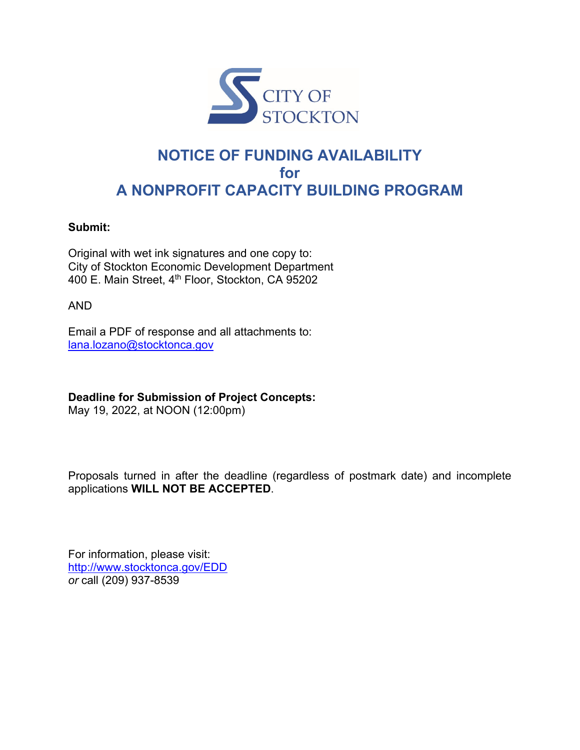

## **NOTICE OF FUNDING AVAILABILITY for A NONPROFIT CAPACITY BUILDING PROGRAM**

## **Submit:**

Original with wet ink signatures and one copy to: City of Stockton Economic Development Department 400 E. Main Street, 4th Floor, Stockton, CA 95202

AND

Email a PDF of response and all attachments to: lana.lozano@stocktonca.gov

## **Deadline for Submission of Project Concepts:**

May 19, 2022, at NOON (12:00pm)

Proposals turned in after the deadline (regardless of postmark date) and incomplete applications **WILL NOT BE ACCEPTED**.

For information, please visit: http://www.stocktonca.gov/EDD *or* call (209) 937-8539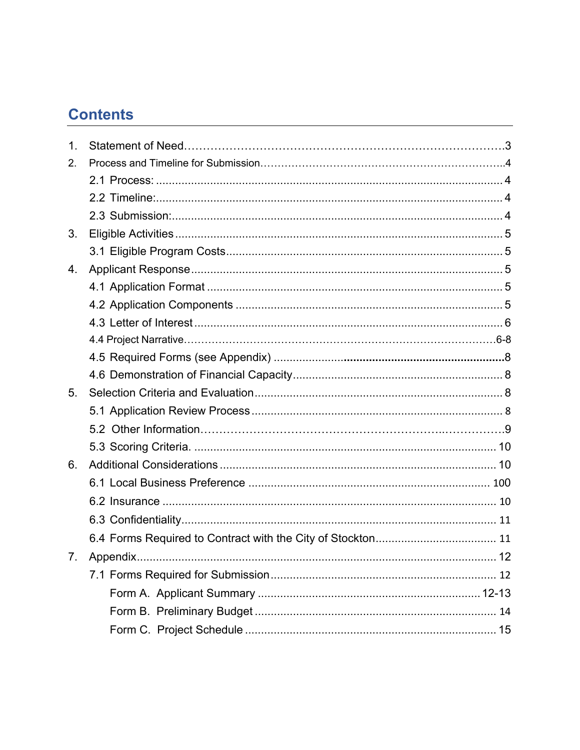# **Contents**

| 1. |    |
|----|----|
| 2. |    |
|    |    |
|    |    |
|    |    |
| 3. |    |
|    |    |
| 4. |    |
|    |    |
|    |    |
|    |    |
|    |    |
|    |    |
|    |    |
| 5. |    |
|    |    |
|    |    |
|    |    |
| 6. |    |
|    |    |
|    |    |
|    |    |
|    |    |
| 7. | 12 |
|    |    |
|    |    |
|    |    |
|    |    |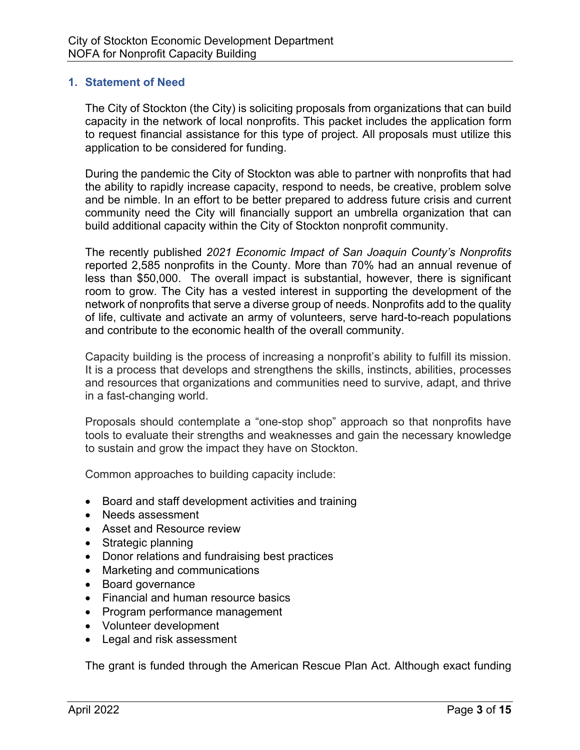## **1. Statement of Need**

The City of Stockton (the City) is soliciting proposals from organizations that can build capacity in the network of local nonprofits. This packet includes the application form to request financial assistance for this type of project. All proposals must utilize this application to be considered for funding.

During the pandemic the City of Stockton was able to partner with nonprofits that had the ability to rapidly increase capacity, respond to needs, be creative, problem solve and be nimble. In an effort to be better prepared to address future crisis and current community need the City will financially support an umbrella organization that can build additional capacity within the City of Stockton nonprofit community.

The recently published *2021 Economic Impact of San Joaquin County's Nonprofits* reported 2,585 nonprofits in the County. More than 70% had an annual revenue of less than \$50,000. The overall impact is substantial, however, there is significant room to grow. The City has a vested interest in supporting the development of the network of nonprofits that serve a diverse group of needs. Nonprofits add to the quality of life, cultivate and activate an army of volunteers, serve hard-to-reach populations and contribute to the economic health of the overall community.

Capacity building is the process of increasing a nonprofit's ability to fulfill its mission. It is a process that develops and strengthens the skills, instincts, abilities, processes and resources that organizations and communities need to survive, adapt, and thrive in a fast-changing world.

Proposals should contemplate a "one-stop shop" approach so that nonprofits have tools to evaluate their strengths and weaknesses and gain the necessary knowledge to sustain and grow the impact they have on Stockton.

Common approaches to building capacity include:

- Board and staff development activities and training
- Needs assessment
- Asset and Resource review
- Strategic planning
- Donor relations and fundraising best practices
- Marketing and communications
- Board governance
- Financial and human resource basics
- Program performance management
- Volunteer development
- Legal and risk assessment

The grant is funded through the American Rescue Plan Act. Although exact funding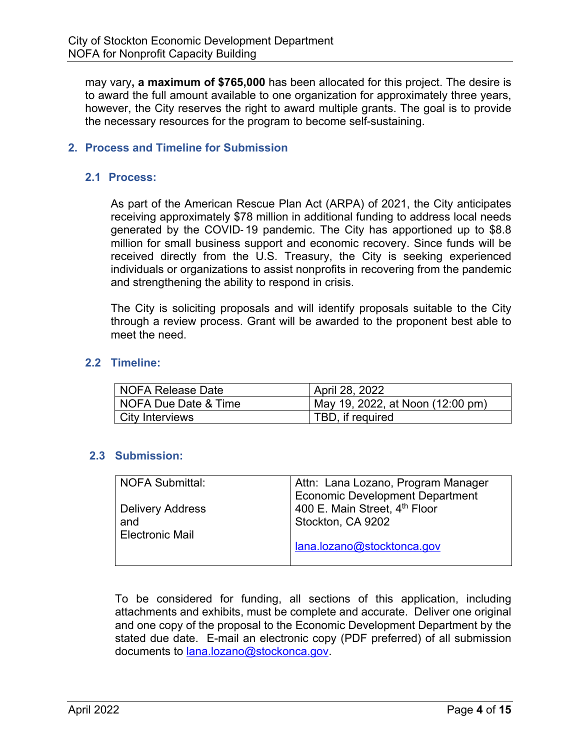may vary**, a maximum of \$765,000** has been allocated for this project. The desire is to award the full amount available to one organization for approximately three years, however, the City reserves the right to award multiple grants. The goal is to provide the necessary resources for the program to become self-sustaining.

## **2. Process and Timeline for Submission**

#### **2.1 Process:**

As part of the American Rescue Plan Act (ARPA) of 2021, the City anticipates receiving approximately \$78 million in additional funding to address local needs generated by the COVID- 19 pandemic. The City has apportioned up to \$8.8 million for small business support and economic recovery. Since funds will be received directly from the U.S. Treasury, the City is seeking experienced individuals or organizations to assist nonprofits in recovering from the pandemic and strengthening the ability to respond in crisis.

The City is soliciting proposals and will identify proposals suitable to the City through a review process. Grant will be awarded to the proponent best able to meet the need.

#### **2.2 Timeline:**

| I NOFA Release Date  | April 28, 2022                   |  |
|----------------------|----------------------------------|--|
| NOFA Due Date & Time | May 19, 2022, at Noon (12:00 pm) |  |
| City Interviews      | TBD, if required                 |  |

#### **2.3 Submission:**

| NOFA Submittal:         | Attn: Lana Lozano, Program Manager        |
|-------------------------|-------------------------------------------|
|                         | <b>Economic Development Department</b>    |
| <b>Delivery Address</b> | 400 E. Main Street, 4 <sup>th</sup> Floor |
| and                     | Stockton, CA 9202                         |
| <b>Electronic Mail</b>  |                                           |
|                         | lana.lozano@stocktonca.gov                |
|                         |                                           |

To be considered for funding, all sections of this application, including attachments and exhibits, must be complete and accurate. Deliver one original and one copy of the proposal to the Economic Development Department by the stated due date. E-mail an electronic copy (PDF preferred) of all submission documents to lana.lozano@stockonca.gov.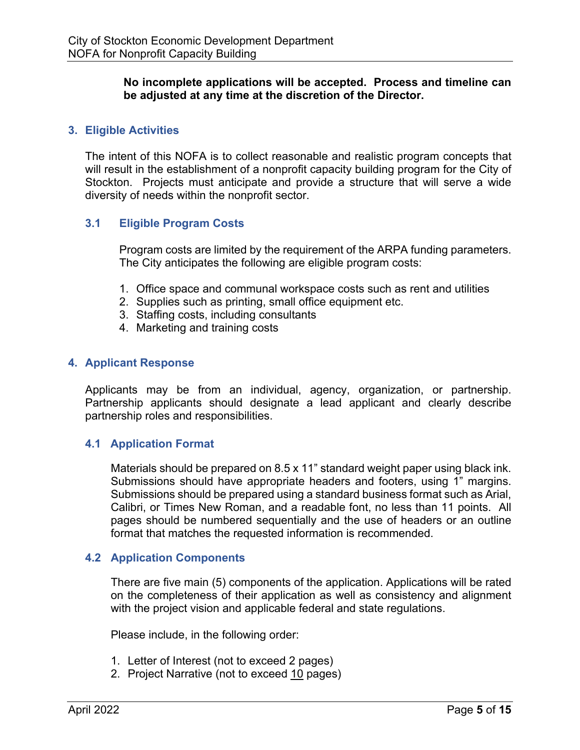## **No incomplete applications will be accepted. Process and timeline can be adjusted at any time at the discretion of the Director.**

## **3. Eligible Activities**

The intent of this NOFA is to collect reasonable and realistic program concepts that will result in the establishment of a nonprofit capacity building program for the City of Stockton. Projects must anticipate and provide a structure that will serve a wide diversity of needs within the nonprofit sector.

## **3.1 Eligible Program Costs**

Program costs are limited by the requirement of the ARPA funding parameters. The City anticipates the following are eligible program costs:

- 1. Office space and communal workspace costs such as rent and utilities
- 2. Supplies such as printing, small office equipment etc.
- 3. Staffing costs, including consultants
- 4. Marketing and training costs

#### **4. Applicant Response**

Applicants may be from an individual, agency, organization, or partnership. Partnership applicants should designate a lead applicant and clearly describe partnership roles and responsibilities.

#### **4.1 Application Format**

Materials should be prepared on 8.5 x 11" standard weight paper using black ink. Submissions should have appropriate headers and footers, using 1" margins. Submissions should be prepared using a standard business format such as Arial, Calibri, or Times New Roman, and a readable font, no less than 11 points. All pages should be numbered sequentially and the use of headers or an outline format that matches the requested information is recommended.

#### **4.2 Application Components**

There are five main (5) components of the application. Applications will be rated on the completeness of their application as well as consistency and alignment with the project vision and applicable federal and state regulations.

Please include, in the following order:

- 1. Letter of Interest (not to exceed 2 pages)
- 2. Project Narrative (not to exceed 10 pages)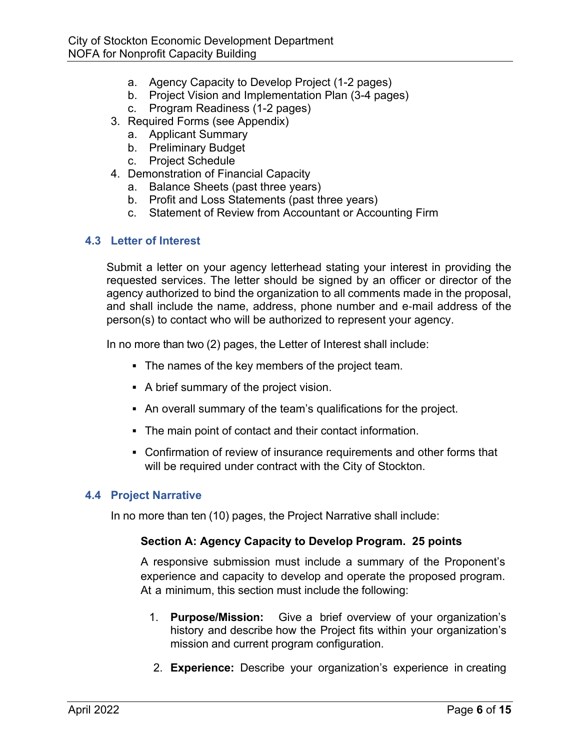- a. Agency Capacity to Develop Project (1-2 pages)
- b. Project Vision and Implementation Plan (3-4 pages)
- c. Program Readiness (1-2 pages)
- 3. Required Forms (see Appendix)
	- a. Applicant Summary
	- b. Preliminary Budget
	- c. Project Schedule
- 4. Demonstration of Financial Capacity
	- a. Balance Sheets (past three years)
	- b. Profit and Loss Statements (past three years)
	- c. Statement of Review from Accountant or Accounting Firm

## **4.3 Letter of Interest**

Submit a letter on your agency letterhead stating your interest in providing the requested services. The letter should be signed by an officer or director of the agency authorized to bind the organization to all comments made in the proposal, and shall include the name, address, phone number and e-mail address of the person(s) to contact who will be authorized to represent your agency.

In no more than two (2) pages, the Letter of Interest shall include:

- The names of the key members of the project team.
- A brief summary of the project vision.
- An overall summary of the team's qualifications for the project.
- The main point of contact and their contact information.
- Confirmation of review of insurance requirements and other forms that will be required under contract with the City of Stockton.

## **4.4 Project Narrative**

In no more than ten (10) pages, the Project Narrative shall include:

#### **Section A: Agency Capacity to Develop Program. 25 points**

A responsive submission must include a summary of the Proponent's experience and capacity to develop and operate the proposed program. At a minimum, this section must include the following:

- 1. **Purpose/Mission:** Give a brief overview of your organization's history and describe how the Project fits within your organization's mission and current program configuration.
- 2. **Experience:** Describe your organization's experience in creating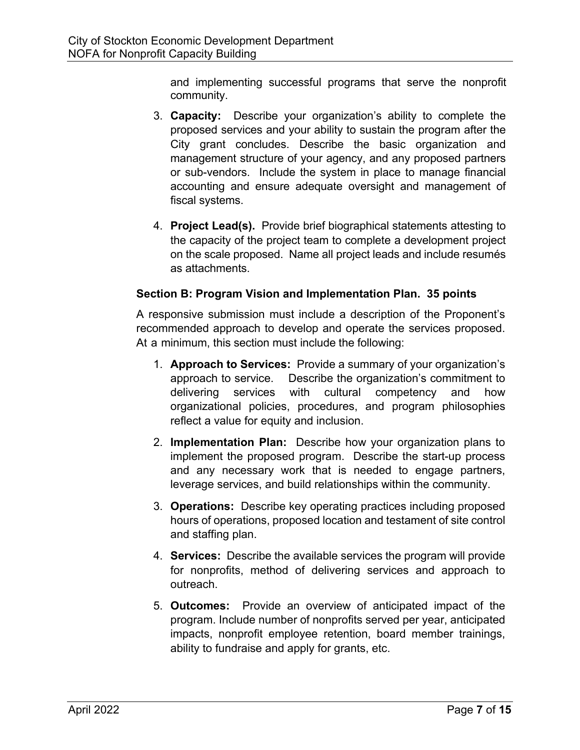and implementing successful programs that serve the nonprofit community.

- 3. **Capacity:** Describe your organization's ability to complete the proposed services and your ability to sustain the program after the City grant concludes. Describe the basic organization and management structure of your agency, and any proposed partners or sub-vendors. Include the system in place to manage financial accounting and ensure adequate oversight and management of fiscal systems.
- 4. **Project Lead(s).** Provide brief biographical statements attesting to the capacity of the project team to complete a development project on the scale proposed. Name all project leads and include resumés as attachments.

## **Section B: Program Vision and Implementation Plan. 35 points**

A responsive submission must include a description of the Proponent's recommended approach to develop and operate the services proposed. At a minimum, this section must include the following:

- 1. **Approach to Services:** Provide a summary of your organization's approach to service. Describe the organization's commitment to delivering services with cultural competency and how organizational policies, procedures, and program philosophies reflect a value for equity and inclusion.
- 2. **Implementation Plan:** Describe how your organization plans to implement the proposed program. Describe the start-up process and any necessary work that is needed to engage partners, leverage services, and build relationships within the community.
- 3. **Operations:** Describe key operating practices including proposed hours of operations, proposed location and testament of site control and staffing plan.
- 4. **Services:** Describe the available services the program will provide for nonprofits, method of delivering services and approach to outreach.
- 5. **Outcomes:** Provide an overview of anticipated impact of the program. Include number of nonprofits served per year, anticipated impacts, nonprofit employee retention, board member trainings, ability to fundraise and apply for grants, etc.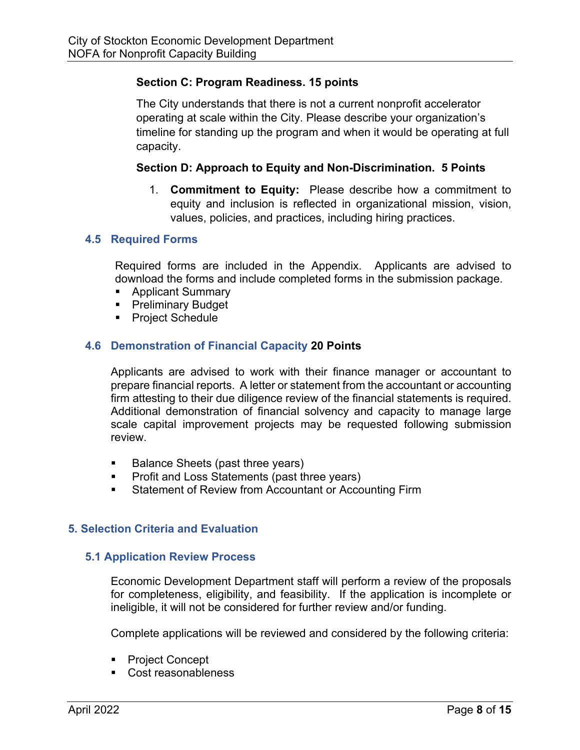## **Section C: Program Readiness. 15 points**

The City understands that there is not a current nonprofit accelerator operating at scale within the City. Please describe your organization's timeline for standing up the program and when it would be operating at full capacity.

#### **Section D: Approach to Equity and Non-Discrimination. 5 Points**

1. **Commitment to Equity:** Please describe how a commitment to equity and inclusion is reflected in organizational mission, vision, values, policies, and practices, including hiring practices.

#### **4.5 Required Forms**

 Required forms are included in the Appendix. Applicants are advised to download the forms and include completed forms in the submission package.

- **Applicant Summary**
- **Preliminary Budget**
- **Project Schedule**

#### **4.6 Demonstration of Financial Capacity 20 Points**

Applicants are advised to work with their finance manager or accountant to prepare financial reports. A letter or statement from the accountant or accounting firm attesting to their due diligence review of the financial statements is required. Additional demonstration of financial solvency and capacity to manage large scale capital improvement projects may be requested following submission review.

- **Balance Sheets (past three years)**
- **Profit and Loss Statements (past three years)**
- Statement of Review from Accountant or Accounting Firm

#### **5. Selection Criteria and Evaluation**

#### **5.1 Application Review Process**

Economic Development Department staff will perform a review of the proposals for completeness, eligibility, and feasibility. If the application is incomplete or ineligible, it will not be considered for further review and/or funding.

Complete applications will be reviewed and considered by the following criteria:

- Project Concept
- Cost reasonableness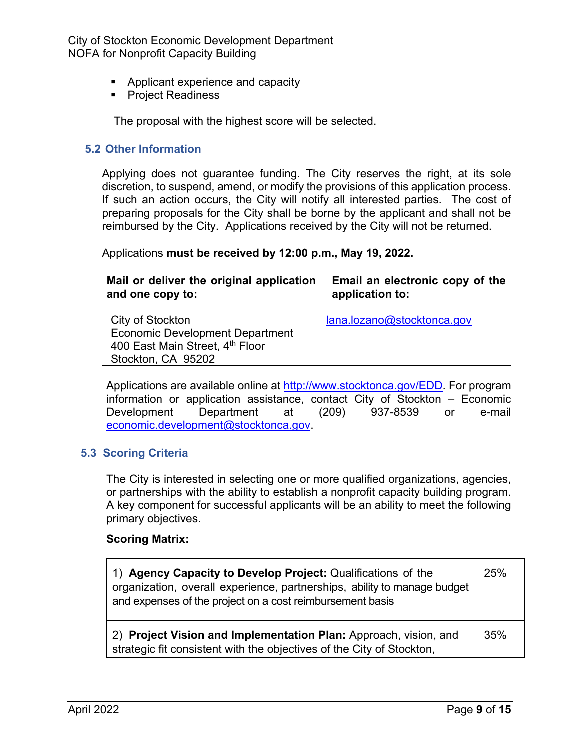- Applicant experience and capacity
- **Project Readiness**

The proposal with the highest score will be selected.

#### **5.2 Other Information**

Applying does not guarantee funding. The City reserves the right, at its sole discretion, to suspend, amend, or modify the provisions of this application process. If such an action occurs, the City will notify all interested parties. The cost of preparing proposals for the City shall be borne by the applicant and shall not be reimbursed by the City. Applications received by the City will not be returned.

Applications **must be received by 12:00 p.m., May 19, 2022.**

| Mail or deliver the original application                                                                            | Email an electronic copy of the |
|---------------------------------------------------------------------------------------------------------------------|---------------------------------|
| and one copy to:                                                                                                    | application to:                 |
| City of Stockton<br><b>Economic Development Department</b><br>400 East Main Street, 4th Floor<br>Stockton, CA 95202 | lana.lozano@stocktonca.gov      |

Applications are available online at http://www.stocktonca.gov/EDD. For program information or application assistance, contact City of Stockton – Economic Development Department at (209) 937-8539 or e-mail economic.development@stocktonca.gov.

#### **5.3 Scoring Criteria**

The City is interested in selecting one or more qualified organizations, agencies, or partnerships with the ability to establish a nonprofit capacity building program. A key component for successful applicants will be an ability to meet the following primary objectives.

#### **Scoring Matrix:**

| 1) Agency Capacity to Develop Project: Qualifications of the<br>organization, overall experience, partnerships, ability to manage budget<br>and expenses of the project on a cost reimbursement basis |     |  |
|-------------------------------------------------------------------------------------------------------------------------------------------------------------------------------------------------------|-----|--|
| 2) Project Vision and Implementation Plan: Approach, vision, and<br>strategic fit consistent with the objectives of the City of Stockton,                                                             | 35% |  |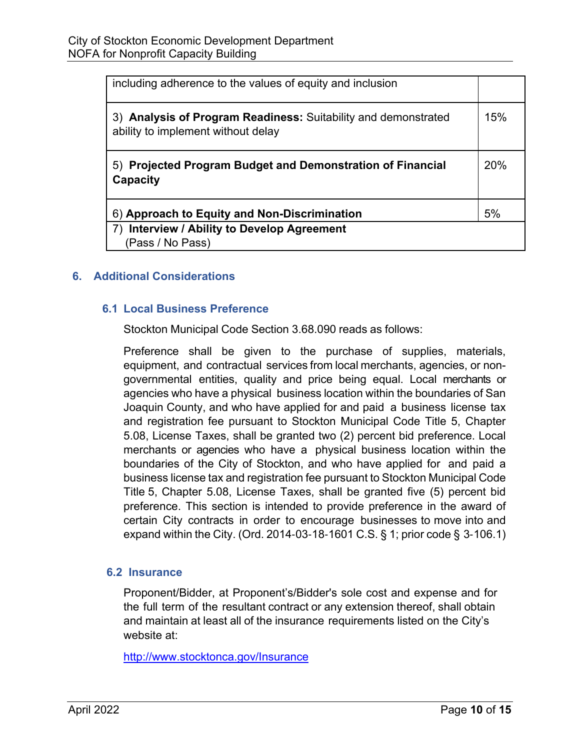| including adherence to the values of equity and inclusion                                            |     |
|------------------------------------------------------------------------------------------------------|-----|
| 3) Analysis of Program Readiness: Suitability and demonstrated<br>ability to implement without delay | 15% |
| 5) Projected Program Budget and Demonstration of Financial<br>Capacity                               | 20% |
| 6) Approach to Equity and Non-Discrimination                                                         | 5%  |
| Interview / Ability to Develop Agreement<br>(Pass / No Pass)                                         |     |

## **6. Additional Considerations**

#### **6.1 Local Business Preference**

Stockton Municipal Code Section 3.68.090 reads as follows:

Preference shall be given to the purchase of supplies, materials, equipment, and contractual services from local merchants, agencies, or nongovernmental entities, quality and price being equal. Local merchants or agencies who have a physical business location within the boundaries of San Joaquin County, and who have applied for and paid a business license tax and registration fee pursuant to Stockton Municipal Code Title 5, Chapter 5.08, License Taxes, shall be granted two (2) percent bid preference. Local merchants or agencies who have a physical business location within the boundaries of the City of Stockton, and who have applied for and paid a business license tax and registration fee pursuant to Stockton Municipal Code Title 5, Chapter 5.08, License Taxes, shall be granted five (5) percent bid preference. This section is intended to provide preference in the award of certain City contracts in order to encourage businesses to move into and expand within the City. (Ord. 2014-03-18-1601 C.S. § 1; prior code § 3-106.1)

#### **6.2 Insurance**

Proponent/Bidder, at Proponent's/Bidder's sole cost and expense and for the full term of the resultant contract or any extension thereof, shall obtain and maintain at least all of the insurance requirements listed on the City's website at:

http://www.stocktonca.gov/Insurance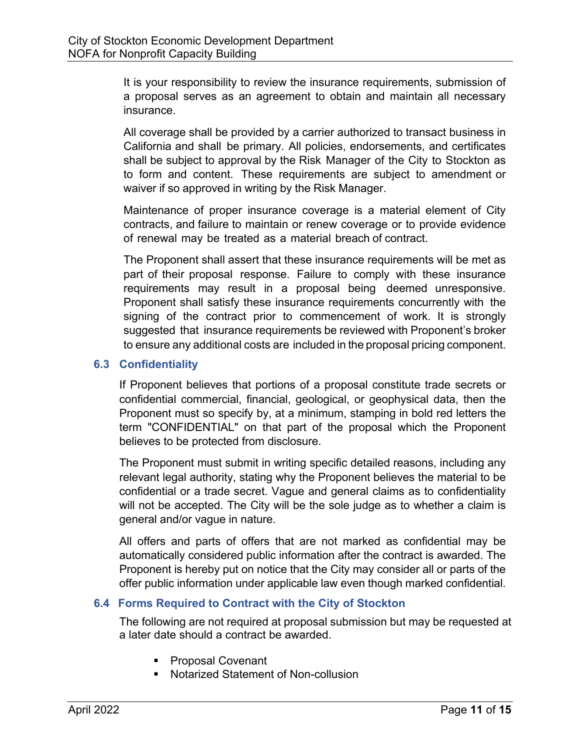It is your responsibility to review the insurance requirements, submission of a proposal serves as an agreement to obtain and maintain all necessary insurance.

All coverage shall be provided by a carrier authorized to transact business in California and shall be primary. All policies, endorsements, and certificates shall be subject to approval by the Risk Manager of the City to Stockton as to form and content. These requirements are subject to amendment or waiver if so approved in writing by the Risk Manager.

Maintenance of proper insurance coverage is a material element of City contracts, and failure to maintain or renew coverage or to provide evidence of renewal may be treated as a material breach of contract.

The Proponent shall assert that these insurance requirements will be met as part of their proposal response. Failure to comply with these insurance requirements may result in a proposal being deemed unresponsive. Proponent shall satisfy these insurance requirements concurrently with the signing of the contract prior to commencement of work. It is strongly suggested that insurance requirements be reviewed with Proponent's broker to ensure any additional costs are included in the proposal pricing component.

## **6.3 Confidentiality**

If Proponent believes that portions of a proposal constitute trade secrets or confidential commercial, financial, geological, or geophysical data, then the Proponent must so specify by, at a minimum, stamping in bold red letters the term "CONFIDENTIAL" on that part of the proposal which the Proponent believes to be protected from disclosure.

The Proponent must submit in writing specific detailed reasons, including any relevant legal authority, stating why the Proponent believes the material to be confidential or a trade secret. Vague and general claims as to confidentiality will not be accepted. The City will be the sole judge as to whether a claim is general and/or vague in nature.

All offers and parts of offers that are not marked as confidential may be automatically considered public information after the contract is awarded. The Proponent is hereby put on notice that the City may consider all or parts of the offer public information under applicable law even though marked confidential.

## **6.4 Forms Required to Contract with the City of Stockton**

The following are not required at proposal submission but may be requested at a later date should a contract be awarded.

- **Proposal Covenant**
- Notarized Statement of Non-collusion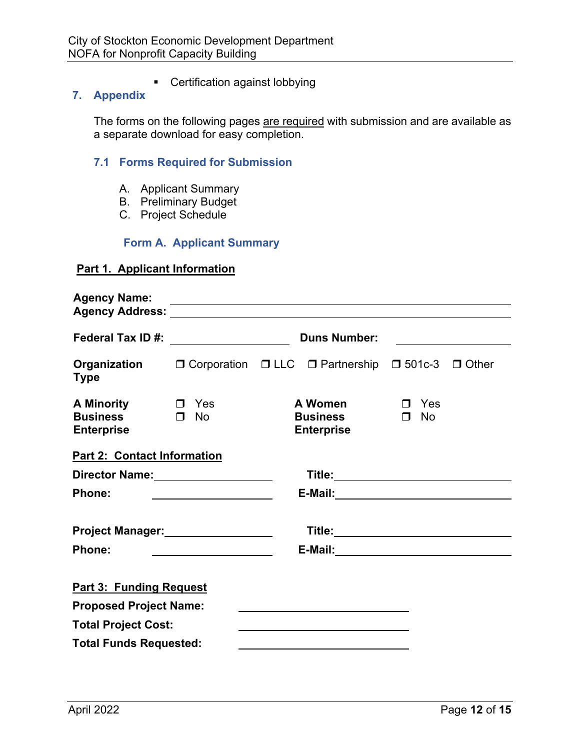**•** Certification against lobbying

## **7. Appendix**

The forms on the following pages are required with submission and are available as a separate download for easy completion.

## **7.1 Forms Required for Submission**

- A. Applicant Summary
- B. Preliminary Budget
- C. Project Schedule

## **Form A. Applicant Summary**

## **Part 1. Applicant Information**

| <b>Agency Name:</b>                                                                                 | <u> 1989 - Johann John Stone, markin fan it ferstjer fan de ferstjer fan it ferstjer fan de ferstjer fan it fers</u>    |  |                                                 |                               |  |
|-----------------------------------------------------------------------------------------------------|-------------------------------------------------------------------------------------------------------------------------|--|-------------------------------------------------|-------------------------------|--|
|                                                                                                     | Federal Tax ID #: ___________________<br><b>Duns Number:</b><br><u> 1980 - Jan Stein Berlin, amerikansk politiker (</u> |  |                                                 |                               |  |
| <b>Organization D</b> Corporation <b>D LLC</b> D Partnership <b>D</b> 501c-3 D Other<br><b>Type</b> |                                                                                                                         |  |                                                 |                               |  |
| <b>A Minority</b><br><b>Business</b><br><b>Enterprise</b>                                           | $\Box$ Yes<br><b>No</b><br>$\Box$                                                                                       |  | A Women<br><b>Business</b><br><b>Enterprise</b> | Yes<br>$\Box$<br>No<br>$\Box$ |  |
| <b>Part 2: Contact Information</b>                                                                  |                                                                                                                         |  |                                                 |                               |  |
| Director Name:<br><u>__________________________</u>                                                 |                                                                                                                         |  |                                                 |                               |  |
| Phone:                                                                                              |                                                                                                                         |  | E-Mail: _________________________________       |                               |  |
| Project Manager:<br><u>Project Manager:</u>                                                         |                                                                                                                         |  | Title:________________________________          |                               |  |
| <b>Phone:</b>                                                                                       | <u> 1989 - Johann Barn, mars eta bat erroman erroman erroman erroman erroman erroman erroman erroman erroman err</u>    |  |                                                 |                               |  |
| <b>Part 3: Funding Request</b>                                                                      |                                                                                                                         |  |                                                 |                               |  |
| <b>Proposed Project Name:</b>                                                                       |                                                                                                                         |  |                                                 |                               |  |
| <b>Total Project Cost:</b>                                                                          |                                                                                                                         |  |                                                 |                               |  |
| <b>Total Funds Requested:</b>                                                                       |                                                                                                                         |  |                                                 |                               |  |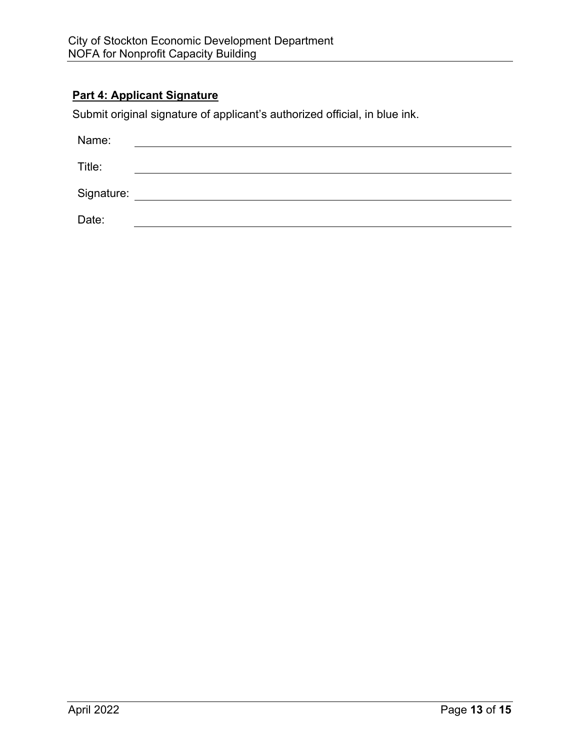## **Part 4: Applicant Signature**

Submit original signature of applicant's authorized official, in blue ink.

| Name:      |  |
|------------|--|
| Title:     |  |
| Signature: |  |
| Date:      |  |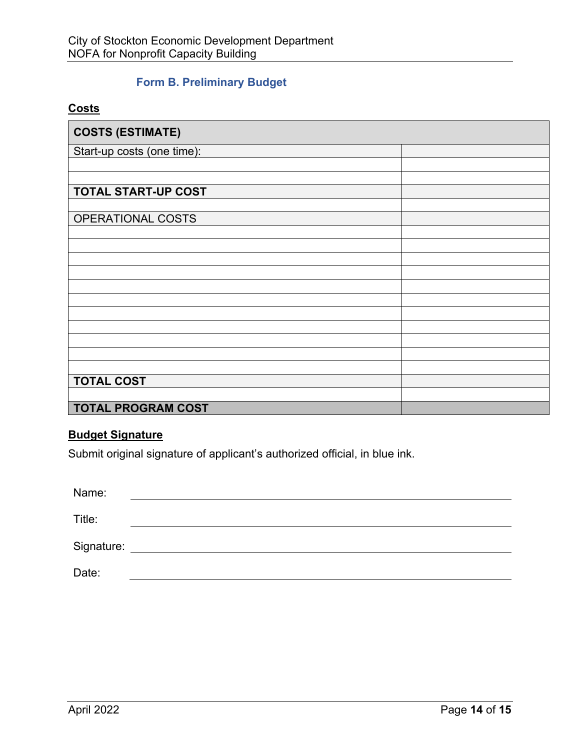## **Form B. Preliminary Budget**

#### **Costs**

| <b>COSTS (ESTIMATE)</b>    |  |  |  |
|----------------------------|--|--|--|
| Start-up costs (one time): |  |  |  |
|                            |  |  |  |
|                            |  |  |  |
| <b>TOTAL START-UP COST</b> |  |  |  |
|                            |  |  |  |
| <b>OPERATIONAL COSTS</b>   |  |  |  |
|                            |  |  |  |
|                            |  |  |  |
|                            |  |  |  |
|                            |  |  |  |
|                            |  |  |  |
|                            |  |  |  |
|                            |  |  |  |
|                            |  |  |  |
|                            |  |  |  |
|                            |  |  |  |
| <b>TOTAL COST</b>          |  |  |  |
|                            |  |  |  |
| <b>TOTAL PROGRAM COST</b>  |  |  |  |

## **Budget Signature**

Submit original signature of applicant's authorized official, in blue ink.

| Name:      |  |
|------------|--|
| Title:     |  |
| Signature: |  |
| Date:      |  |